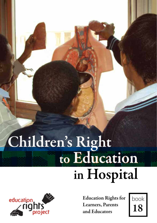# Children's Right<br>to Education in Hospital



Education Rights for Learners, Parents and Educators

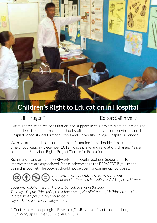# **Children's Right to Education in Hospital**

Jill Kruger \* Editor: Salim Vally

Warm appreciation for consultation and support in this project from education and health department and hospital school staff members in various provinces and The Hospital School (Great Ormond Street and University College Hospitals), London.

We have attempted to ensure that the information in this booklet is accurate up to the time of publication – December 2012. Policies, laws and regulations change. Please contact the Education Rights Project/Centre for Education

Rights and Transformation (ERP/CERT) for regular updates. Suggestions for improvements are appreciated. Please acknowledge the ERP/CERT if you intend using this booklet. The booklet should not be used for commercial purposes.

*This work is licensed under a Creative Commons Attribution-NonCommercial-NoDerivs 3.0 Unported License.*

*Cover image: Johannesburg Hospital School, Science of the body This page: Deputy Principal of the Johannesburg Hospital School, Mr Prinavin and class Photos: Jill Kruger and hospital schools Layout & design: nicolas.red@gmail.com*

\* Centre for Anthropological Research (CfAR), University of Johannesburg Growing Up In Cities (GUIC) SA UNESCO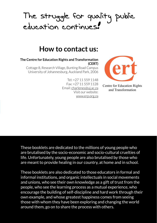# The struggle for quality public education continues!

# **How to contact us:**

**The Centre for Education Rights and Transformation (CERT)**

Cottage 8, Research Village, Bunting Road Campus University of Johannesburg, Auckland Park, 2006

> Tel: +27 11 559 1148 Fax: +27 11 559 1128 Email: charlenes@uj.ac.za Visit our website: www.erp.org.za



Centre for Education Rights and Transformation

These booklets are dedicated to the millions of young people who are brutalised by the socio-economic and socio-cultural cruelties of life. Unfortunately, young people are also brutalised by those who are meant to provide healing in our country, at home and in school.

These booklets are also dedicated to those educators in formal and informal institutions, and organic intellectuals in social movements and unions, who see their own knowledge as a gift of trust from the people, who see the learning process as a mutual experience, who encourage the building of self-discipline and hard work through their own example, and whose greatest happiness comes from seeing those with whom they have been exploring and changing the world around them, go on to share the process with others.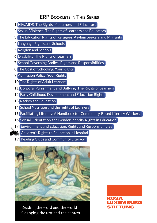## **ERP Booklets in This Series**

- 1 HIV/AIDS: The Rights of Learners and Educators
- 2 Sexual Violence: The Rights of Learners and Educators
- 3 The Education Rights of Refugees, Asylum Seekers and Migrants
- 4 Language Rights and Schools
- 5 Religion and Schools
- 6 Disability: The Rights of Learners
- 7 School Governing Bodies: Rights and Responsibilities
- 8 The Cost of Schooling: Your Rights
- 9 Admission Policy: Your Rights
- 10 The Rights of Adult Learners
- 11 Corporal Punishment and Bullying: The Rights of Learners
- 12 Early Childhood Development and Education Rights
- 13 Racism and Education
- 14 School Nutrition and the rights of Learners
- **15** Facilitating Literacy: A Handbook for Community-Based Literacy Workers
- 16. Sexual Orientation and Gender Identity Rights in Education
- 17 Environment and Education: Rights and Responsibilitiies
- **18** Children's Rights to Education in Hospital
- 19 Reading Clubs and Community Literacy



Reading the word and the world Changing the text and the context ROSA EMBURG STIFTUNG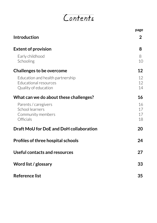# Contents

|                                                                                   | page                 |
|-----------------------------------------------------------------------------------|----------------------|
| Introduction                                                                      | $\overline{2}$       |
| <b>Extent of provision</b>                                                        | 8                    |
| Early childhood<br>Schooling                                                      | 8<br>10              |
| Challenges to be overcome                                                         | 12                   |
| Education and health partnership<br>Educational resources<br>Quality of education | 12<br>12<br>14       |
| What can we do about these challenges?                                            | 16                   |
| Parents / caregivers<br>School learners<br>Community members<br>Officials         | 16<br>17<br>17<br>18 |
| Draft MoU for DoE and DoH collaboration                                           | 20                   |
| <b>Profiles of three hospital schools</b>                                         | 24                   |
| Useful contacts and resources                                                     | 27                   |
| Word list / glossary                                                              | 33                   |
| <b>Reference list</b>                                                             | 35                   |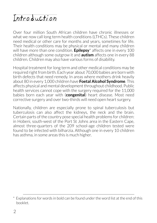# Introduction

Over four million South African children have chronic illnesses or what we now call long term health conditions (LTHCs). These children need medical or other care for months and years, sometimes for life. Their health conditions may be physical or mental and many children will have more than one condition. **Epilepsy**\* affects one in every 100 children although some outgrow it and **autism** affects one in every 88 children. Children may also have various forms of disability.

Hospital treatment for long term and other medical conditions may be required right from birth. Each year about 70,000 babies are born with birth defects that need remedy. In areas where mothers drink heavily about 80 in every 1,000 children have **Foetal Alcohol Syndrome**. This affects physical and mental development throughout childhood. Public health services cannot cope with the surgery required for the 11,000 babies born each year with (**congenital**) heart disease. Most need corrective surgery and over two-thirds will need open heart surgery.

Nationally, children are especially prone to spinal tuberculosis but tuberculosis can also affect the kidneys, the neck and the brain. Certain parts of the country pose special health problems for children: in Hobeni, south-west of the Port St Johns area in the Eastern Cape, almost three-quarters of the 209 school-age children tested were found to be infected with bilharzia. Although one in every 10 children has asthma, in some areas this is much higher.

Explanations for words in bold can be found under the word list at the end of this booklet.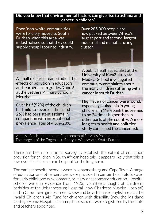#### **Did you know that environmental factors can give rise to asthma and cancer in children?**

Poor, 'non-white' communities were forcibly moved to South Durban when this area was industrialised so that they could supply cheap labour to industry.

Over 285 000 people are now packed between Africa's largest port and second-largest industrial and manufacturing cluster.

A small research team studied the effects of pollution in educators and learners from grades 3 and 6 at the Settlers Primary School in Merebank.

Over half (52%) of the children had mild to severe asthma and 26% had persistent asthma in comparison with international prevalence rates of 4.5%–28%. A public health specialist at the University of KwaZulu-Natal Medical School investigated community complaints about the many children suffering with cancer in south Durban.

High levels of cancer were found, especially leukaemia in young children. In Merebank this seemed to be 24 times higher than in other parts of the country. A more long-term health and pollution study confirmed the cancer risk.

Vanessa Black, Independent Environmental Services Professional. The image is of the Engen oil refinery in Wentworth, South Durban

There has been no national survey to establish the extent of education provision for children in South African hospitals. It appears likely that this is low, even if children are in hospital for the long term.

The earliest hospital schools were in Johannesburg and Cape Town. A range of education and other services were provided in certain hospitals to cater for early childhood development, primary or secondary education. Hospital schools were in evidence from 1923: volunteers taught at children's bedsides at the Johannesburg Hospital (now Charlotte Maxeke Hospital) and in Cape Town girls learned to sew and boys to make crayfish nets at the Invalid Children's Aid Fund for children with disability (now the Maitland Cottage Home Hospital). In time, these schools were registered by the state and teachers appointed.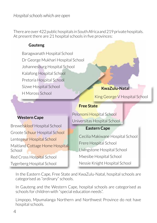#### *Hospital schools which are open*

There are over 422 public hospitals in South Africa and 219 private hospitals. At present there are 21 hospital schools in five provinces:

#### **Gauteng**

Baragwanath Hospital School Dr George Mukhari Hospital School Johannesburg Hospital School Kalafong Hospital School Pretoria Hospital School Sizwe Hospital School H Moross School

#### **KwaZulu-Natal**

King George V Hospital School

#### **Free State**

#### **Western Cape**

Brewelskloof Hospital School Groote Schuur Hospital School Lentegeur Hospital School Maitland Cottage Home Hospital School

Red Cross Hospital School

Tygerberg Hospital School

Pelonomi Hospital School Universitas Hospital School

#### **Eastern Cape**

Cecilia Makiwane Hospital School Frere Hospital School Livingstone Hospital School Mxesibe Hospital School Nessie Knight Hospital School

In the Eastern Cape, Free State and KwaZulu-Natal, hospital schools are categorised as "ordinary" schools.

In Gauteng and the Western Cape, hospital schools are categorised as schools for children with "special education needs".

Limpopo, Mpumalanga Northern and Northwest Province do not have hospital schools.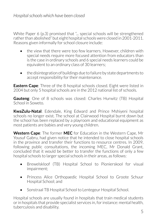White Paper 6 (p.3) promised that "... special schools will be strengthened rather than abolished" but eight hospital schools were closed in 2001-2011. Reasons given informally for school closure include:

- the view that there were too few learners. However, children with special needs require more focused attention from educators than is the case in ordinary schools and 6 special needs learners could be equivalent to an ordinary class of 30 learners;
- the disintegration of buildings due to failure by state departments to accept responsibility for their maintenance.

**Eastern Cape**: Three of the 8 hospital schools closed. Eight were listed in 2004 but only 5 hospital schools are in the 2012 national list of schools.

**Gauteng**: One of 8 schools was closed: Charles Hurwitz (TB) Hospital School in Soweto.

**KwaZulu-Natal**: Edendale, King Edward and Prince Mshiyeni hospital schools no longer exist. The school at Clairwood Hospital burnt down but the school has been replaced by a playroom and educational equipment as most patients are babies and very young children.

**Western Cape**: The former **MEC** for Education in the Western Cape, Mr Yousuf Gabru, had given notice that he intended to close hospital schools in the province and transfer their functions to resource centres. In 2009, following public consultations, the incoming MEC, Mr Donald Grant, concluded that it would be better to transfer the functions of only a few hospital schools to larger special schools in their areas, as follows:

- Brewelskloof (TB) Hospital School to Pionierskool for visual impairment;
- Princess Alice Orthopaedic Hospital School to Groote Schuur Hospital School; and
- Sonstraal TB Hospital School to Lentegeur Hospital School.

Hospital schools are usually found in hospitals that train medical students or in hospitals that provide specialist services in, for instance: mental health, tuberculosis and disability.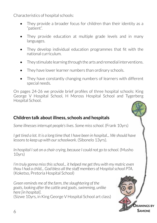Characteristics of hospital schools:

- They provide a broader focus for children than their identity as a "patient".
- They provide education at multiple grade levels and in many languages.
- They develop individual education programmes that fit with the national curriculum.
- They stimulate learning through the arts and remedial interventions.
- They have lower learner numbers than ordinary schools.
- They have constantly changing numbers of learners with different special needs.

On pages 24-26 we provide brief profiles of three hospital schools: King George V Hospital School, H Moross Hospital School and Tygerberg Hospital School.

#### **Children talk about illness, schools and hospitals**

*Some illnesses interrupt people's lives. Some miss school*. (Frank 10yrs)

I get tired a lot. It is a long time that I have been in hospital... We should have *lessons to keep up with our schoolwork*. (Sibonelo 13yrs).

*In hospital I sat on a chair crying, because I could not go to school*. (Musho 10yrs)

*I'm truly gonna miss this school... it helped me get thru with my matric even thou I had a child... God bless all the staff members of Hospital school PTA.* (Koketso, Pretoria Hospital School)

*Green reminds me of the farm, the slaughtering of the goats, looking after the cattle and goats, swimming, unlike here [in hospital]*. (Sizwe 10yrs, in King George V Hospital School art class)

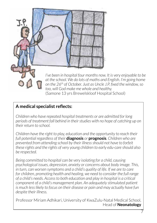

*on the 26th of October. Just as Uncle J.P. fixed the window, so too, will God make me whole and healthy.*  (Samone 13 yrs Brewelskloof Hospital School)

### **A medical specialist reflects:**

*Children who have repeated hospital treatments or are admitted for long periods of treatment fall behind in their studies with no hope of catching up on their return to school.* 

*Children have the right to play, education and the opportunity to reach their full potential regardless of their* **diagnosis** *or* **prognosis***. Children who are prevented from attending school by their illness should not have to forfeit these rights and the rights of very young children to early edu-care should also be respected.* 

*Being committed to hospital can be very isolating for a child, causing psychological issues, depression, anxiety or concerns about body image. This,*  in turn, can worsen symptoms and a child's quality of life. If we are to care for children, promoting health and healing, we need to consider the full range *of a child's needs. Access to both education and play in hospital is a critical component of a child's management plan. An adequately stimulated patient is much less likely to focus on their disease or pain and may actually have fun despite their illness.*

Professor Miriam Adhikari, University of KwaZulu-Natal Medical School, Head of **Neonatology**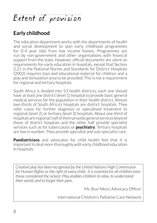# Extent of provision

## **Early childhood**

The education department works with the departments of health and social development to plan early childhood programmes for 0-4 year olds from low income homes. Programmes are run by non-government and other organisations with financial support from the state. However, official documents are silent on requirements for early education in hospitals, except that Section 2.21 in the National Norms and Standards for District Hospitals (2002) requires toys and educational material for children and a play and stimulation area to be provided. This is not a requirement for regional and tertiary hospitals.

South Africa is divided into 53 health districts; each one should have at least one district (level 1) hospital to provide basic general medical services for the population in their health district. Almost two-thirds of South Africa's hospitals are district hospitals. They refer cases for further diagnosis or specialised treatment to regional (level 2) or tertiary (level 3) hospitals. About one-third of hospitals are regional; half of them provide general services beyond those of district hospitals and the other half provide specialist services such as for tuberculosis or **psychiatry**. Tertiary hospitals are low in number. They provide specialist and sub-specialist care.

**Paediatricians** and advocates for child health feel that it is important to deal more thoroughly with early childhood education in hospitals:

*Creative play has been recognised by the United Nations High Commission for Human Rights as the right of every child. It is essential for all children even those considered the sickest. Play enables children to relax, to understand their world, and to forget their pain.*

Ms. Busi Nkosi, Advocacy Officer

International Children's Palliative Care Network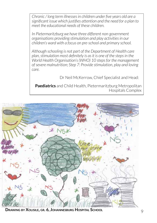*Chronic / long term illnesses in children under five years old are a significant issue which justifies attention and the need for a plan to meet the educational needs of these children.*

*In Pietermaritzburg we have three different non-government organisations providing stimulation and play activities in our children's ward with a focus on pre-school and primary school.* 

*Although schooling is not part of the Department of Health care plan, stimulation most definitely is as it is one of the steps in the World Health Organisation's (WHO) 10 steps for the management of severe malnutrition; Step 7: Provide stimulation, play and loving care.*

Dr Neil McKerrow, Chief Specialist and Head:

**Paediatrics** and Child Health, Pietermaritzburg Metropolitan Hospitals Complex



**Drawing by Xolisile, gr. 6, Johannesburg Hospital School**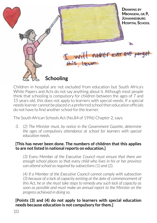

Children in hospital are not excluded from education but South Africa's White Papers and Acts do not say anything about it. Although most people think that schooling is compulsory for children between the ages of 7 and 15 years old, this does not apply to learners with special needs. If a special needs learner cannot be placed in a preferred school then education officials do not have to find another school forthe learner.

The South African Schools Act (No.84 of 1996) Chapter 2, says:

*3. (2) The Minister must, by notice in the Government Gazette, determine the ages of compulsory attendance at school for learners with special education needs.*

#### **[This has never been done. The numbers of children that this applies to are not listed in national reports on education.]**

*(3) Every Member of the Executive Council must ensure that there are enough school places so that every child who lives in his or her province can attend school as required by subsections (1) and (2).*

*(4) If a Member of the Executive Council cannot comply with subsection (3) because of a lack of capacity existing at the date of commencement of this Act, he or she must take steps to remedy any such lack of capacity as soon as possible and must make an annual report to the Minister on the progress achieved in doing so.*

#### **[Points (3) and (4) do not apply to learners with special education needs because education is not compulsory for them.]**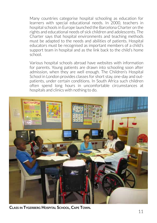Many countries categorise hospital schooling as education for learners with special educational needs. In 2000, teachers in hospital schools in Europe launched the Barcelona Charter on the rights and educational needs of sick children and adolescents. The Charter says that hospital environments and teaching methods must be adapted to the needs and abilities of patients. Hospital educators must be recognised as important members of a child's support team in hospital and as the link back to the child's home school.

Various hospital schools abroad have websites with information for parents. Young patients are drawn into schooling soon after admission, when they are well enough. The Children's Hospital School in London provides classes for short stay, one-day and outpatients, under certain conditions. In South Africa such children often spend long hours in uncomfortable circumstances at hospitals and clinics with nothing to do.



**Class in Tygerberg Hospital School, Cape Town.**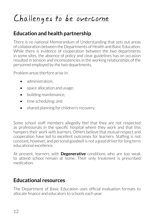# Challenges to be overcome

## **Education and health partnership**

There is no national Memorandum of Understanding that sets out areas of collaboration between the Departments of Health and Basic Education. While there is evidence of cooperation between the two departments in some sites, the absence of policy and clear guidelines has on occasion resulted in tension and inconsistencies in the working relationships of the personnel employed by the two departments.

Problem areas therfore arise in:

- administration:
- space allocation and usage:
- building maintenance;
- time scheduling; and
- shared planning for children's recovery.

Some school staff members allegedly feel that they are not respected as professionals in the specific hospital where they work and that this hampers their work with learners. Others believe that mutual respect and cooperation have led to excellent outcomes for learners. Staffing is not constant, however, and personal goodwill is not a good driver for long term educational excellence.

At present, learners with **Degenerative** conditions who are too weak to attend school remain at home. Their only treatment is prescribed medication.

## **Educational resources**

The Department of Basic Education uses official evaluation formats to allocate finance and educators to schools each year.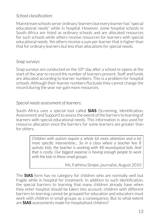#### *School classification:*

Mainstream schools serve 'ordinary' learners but every learner has "special educational needs" while in hospital. However, some hospital schools in South Africa are listed as ordinary schools and are allocated resources for such schools while others receive resources for learners with special educational needs. Yet others receive a sum per learner that is higher than that for ordinary learners but less than allocations for special needs.

#### *Snap surveys:*

Snap surveys are conducted on the 10<sup>th</sup> day after a school re-opens at the start of the year to record the number of learners present. Staff and funds are allocated according to learner numbers. This is a problem for hospital schools. Although their learner numbers fluctuate they cannot change the record during the year nor gain more resources.

#### *Special needs assessment of learners:*

South Africa uses a special tool called **SIAS** (Screening, Identification, Assessment and Support) to assess the extent of the barriers to learning of learners with special educational needs. This information is also used for resource allocation since the barriers for some learners are greater than for others.

> *Children with autism require a whole lot more attention and a lot more specific intervention... So in a class where a teacher has 8 autistic kids, the teacher is working with 48 neurotypical kids. And that is costly. Our biggest expense is having enough people to work with the kids in these small groups.*

> > Ms. Fathima Simjee, journalist, August 2010

The **SIAS** form has no category for children who are normally well but fragile while in hospital for treatment. In addition to such identification, the special barriers to learning that many children already have when they enter hospital should be taken into account: children with different barriers to learning cannot be grouped for education and educators must work with children in small groups as a consequence. But to what extent are **SIAS** assessments made for hospitalised children?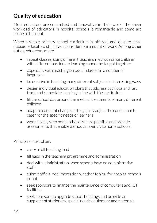## **Quality of education**

Most educators are committed and innovative in their work. The sheer workload of educators in hospital schools is remarkable and some are prone to burnout.

When a whole primary school curriculum is offered, and despite small classes, educators still have a considerable amount of work. Among other duties, educators must:

- repeat classes, using different teaching methods since children with different barriers to learning cannot be taught together
- cope daily with teaching across all classes in a number of languages
- be creative in teaching many different subjects in interesting ways
- design individual education plans that address backlogs and fast track and remediate learning in line with the curriculum
- fit the school day around the medical treatments of many different children
- adapt to constant change and regularly adjust the curriculum to cater for the specific needs of learners
- work closely with home schools where possible and provide assessments that enable a smooth re-entry to home schools.

Principals must often:

- carry a full teaching load
- fill gaps in the teaching programme and administration
- $\bullet$  deal with administration when schools have no administrative staff
- submit official documentation whether topical for hospital schools or not
- seek sponsors to finance the maintenance of computers and ICT facilities
- seek sponsors to upgrade school buildings and provide or supplement stationery, special needs equipment and materials.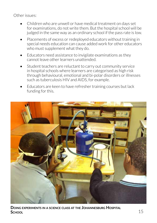Other issues:

- Children who are unwell or have medical treatment on days set for examinations, do not write them. But the hospital school will be judged in the same way as an ordinary school if the pass rate is low.
- Placements of excess or redeployed educators without training in special needs education can cause added work for other educators who must supplement what they do.
- Educators need assistance to invigilate examinations as they cannot leave other learners unattended.
- Student teachers are reluctant to carry out community service in hospital schools where learners are categorised as high risk through behavioural, emotional and bi-polar disorders or illnesses such as tuberculosis HIV and AIDS, for example.
- Educators are keen to have refresher training courses but lack funding for this.



**Doing experiments in <sup>a</sup> science class at the Johannesburg Hospital School**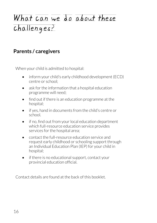# What can we do about these  $challenges?$

## **Parents / caregivers**

When your child is admitted to hospital:

- inform your child's early childhood development (ECD) centre or school;
- ask for the information that a hospital education programme will need;
- find out if there is an education programme at the hospital;
- if yes, hand in documents from the child's centre or school.
- if no, find out from your local education department which full-resource education service provides services for the hospital area;
- contact the full-resource education service and request early childhood or schooling support through an Individual Education Plan (IEP) for your child in hospital;
- if there is no educational support, contact your provincial education official.

Contact details are found at the back of this booklet.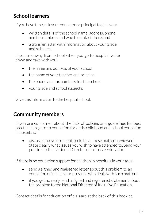## **School learners**

If you have time, ask your educator or principal to give you:

- written details of the school name, address, phone and fax numbers and who to contact there; and
- a transfer letter with information about your grade and subjects.

If you are away from school when you go to hospital, write down and take with you:

- the name and address of your school
- the name of your teacher and principal
- the phone and fax numbers for the school
- vour grade and school subjects.

Give this information to the hospital school.

## **Community members**

If you are concerned about the lack of policies and guidelines for best practice in regard to education for early childhood and school education in hospitals:

• discuss or develop a petition to have these matters reviewed. State clearly what issues you wish to have attended to. Send your petition to the National Director of Inclusive Education.

If there is no education support for children in hospitals in your area:

- send a signed and registered letter about this problem to an education official in your province who deals with such matters.
- if you get no reply send a signed and registered statement about the problem to the National Director of Inclusive Education.

Contact details for education officials are at the back of this booklet.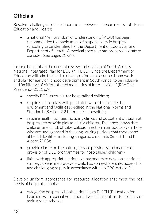## **Officials**

Resolve challenges of collaboration between Departments of Basic Education and Health:

• a national Memorandum of Understanding (MOU) has been recommended to enable areas of responsibility in hospital schooling to be identified for the Department of Education and Department of Health. A medical specialist has prepared a draft to consider (see pages 20-23).

Include hospitals in the current review and revision of South Africa's National Integrated Plan for ECD (NIPECD). Since the Department of Education will take the lead to develop a "human resource framework and plan for early childhood development in South Africa, to be inclusive and facilitative of differentiated modalities of interventions" (RSA The Presidency 2011 p.9)

- specify ECD as crucial for hospitalised children;
- require all hospitals with paediatric wards to provide the equipment and facilities specified in the National Norms and Standards (Section 2.21) for district hospitals;
- require health facilities including clinics and outpatient divisions at hospitals to provide play areas for children. Evidence shows that children are at risk of tuberculosis infection from adults even those who are undiagnosed in the long waiting periods that they spend at health facilities including kangaroo care units (Smart T and K Alcorn 2008);
- provide clarity on the nature, service providers and manner of provision of ECD programmes for hospitalised children; ·
- liaise with appropriate national departments to develop a national strategy to ensure that every child has somewhere safe, accessible and challenging to play in accordance with UNCRC Article 31.

Develop uniform approaches for resource allocation that meet the real needs of hospital schools:·

• categorise hospital schools nationally as ELSEN (Education for Learners with Special Educational Needs) in contrast to ordinary or mainstream schools;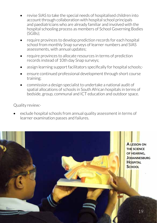- revise SIAS to take the special needs of hospitalised children into account through collaboration with hospital school principals and paediatricians who are already familiar and involved with the hospital schooling process as members of School Governing Bodies (SGBs);
- require provinces to develop prediction records for each hospital school from monthly Snap surveys of learner numbers and SIAS assessments, with annual updates;
- require provinces to allocate resources in terms of prediction records instead of 10th day Snap surveys;
- assign learning support facilitators specifically for hospital schools;
- ensure continued professional development through short course training;
- commission a design specialist to undertake a national audit of spatial allocations of schools in South African hospitals in terms of bedside, group, communal and ICT education and outdoor space.

Quality review:·

exclude hospital schools from annual quality assessment in terms of learner examination passes and failures.

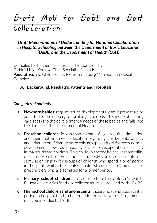# Draft Mov For DoBE and Dott  $collaboration$

#### *Draft Memorandum of Understanding for National Collaboration in Hospital Schooling between the Department of Basic Education (DoBE) and the Department of Health (DoH)*

Compiled for further discussion and elaboration, by Dr Neil H. McKerrow: Chief Specialist & Head: **Paediatrics** and Child Health: Pietermaritzburg Metropolitan Hospitals **Complex** 

#### **A. Background: Paediatric Patients and Hospitals**

#### *Categories of patients*

- **a Newborn babies**: require neuro-developmental care if premature or admitted to the nursery for prolonged periods. This mode of nursing care speaks to the developmental needs of these babies and falls into the domain of the Department of Health.
- **b Preschool children**: ie less than 6 years of age, require stimulation and their mothers need education regarding the benefits of play and stimulation. Stimulation to this group is critical for both normal development as well as a modality of care for recuperation, especially in malnourished children. This could in theory be the responsibility of either Health or Education – the DoH could address informal stimulation or play for groups of children who spend a brief period in hospital whilst the DoBE could structure programmes for preschoolers who are admitted for a longer period.
- **c Primary school children**: are admitted to the children's wards. Education activities for these children must be provided by the DoBE.
- **d High school children and adolescents**: those who spend a substantial period in hospital tend to be found in the adult wards. Programmes must be provided by DoBE.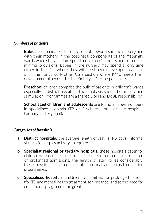#### *Numbers of patients*

**Babies** predominate. There are lots of newborns in the nursery and with their mothers in the post-natal components of the maternity wards where they seldom spend more than 24 hours and so require minimal provisions. Babies in the nursery may spend a long time either in the ICU where they will need neuro-developmental care or in the Kangaroo Mother Care section where KMC meets their developmental needs. This is definitely a DoH responsibility.

**Preschool** children comprise the bulk of patients in children's wards especially in district hospitals. The emphasis should be on play and stimulation. Programmes are a shared DoH and DoBE responsibility.

**School aged children and adolescents** are found in larger numbers in specialised hospitals (TB or Psychiatry) or specialist hospitals (tertiary and regional).

#### *Categories of hospitals*

- **a District hospitals**: the average length of stay is 4-5 days; informal stimulation or play activity is required.
- **b Specialist regional or tertiary hospitals**: these hospitals cater for children with complex or chronic disorders often requiring repeated or prolonged admissions; the length of stay varies considerably; these hospitals may require both informal and formal education programmes.
- **c Specialised hospitals**: children are admitted for prolonged periods (for TB and mental health treatment, for instance) and so the need for educational programmes in great.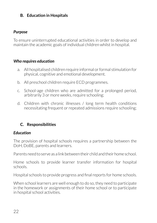#### **B. Education in Hospitals**

#### *Purpose*

To ensure uninterrupted educational activities in order to develop and maintain the academic goals of individual children whilst in hospital.

#### *Who requires education*

- a. All hospitalised children require informal or formal stimulation for physical, cognitive and emotional development.
- b. All preschool children require ECD programmes.
- c. School-age children who are admitted for a prolonged period, arbitrarily 3 or more weeks, require schooling;
- d. Children with chronic illnesses / long term health conditions necessitating frequent or repeated admissions require schooling;

#### **C. Responsibilities**

#### *Education*

The provision of hospital schools requires a partnership between the DoH, DoBE, parents and learners.

Parents need to serve as a link between their child and their home school.

Home schools to provide learner transfer information for hospital schools.

Hospital schools to provide progress and final reports for home schools.

When school learners are well enough to do so, they need to participate in the homework or assignments of their home school or to participate in hospital school activities.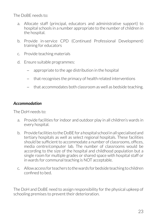The DoBE needs to:

- a. Allocate staff (principal, educators and administrative support) to hospital schools in a number appropriate to the number of children in the hospital.
- b. Provide in-service CPD (Continued Professional Development) training for educators
- c. Provide teaching materials
- d. Ensure suitable programmes:
	- − appropriate to the age distribution in the hospital
	- − that recognises the primacy of health related interventions
	- − that accommodates both classroom as well as bedside teaching.

#### *Accommodation*

The DoH needs to:

- a. Provide facilities for indoor and outdoor play in all children's wards in every hospital.
- b. Provide facilities to the DoBE for a hospital school in all specialised and tertiary hospitals as well as select regional hospitals. These facilities should be sufficient to accommodate a number of classrooms, offices, media centre/computer lab. The number of classrooms would be according to the size of the hospital and childhood population but a single room for multiple grades or shared space with hospital staff or in wards for communal teaching is NOT acceptable.
- c. Allow access for teachers to the wards for bedside teaching to children confined to bed.

The DoH and DoBE need to assign responsibility for the physical upkeep of schooling premises to prevent their deterioration.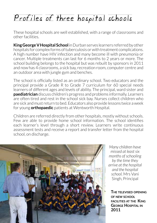# Profiles of three hospital schools

These hospital schools are well established, with a range of classrooms and other facilities.

**King George V Hospital School** in Durban serves learners referred by other hospitals for complex forms of tuberculosis or with treatment complications. A high number have HIV infection and many become ill with pneumonia or cancer. Multiple treatments can last for 6 months to 2 years or more. The school building belongs to the hospital but was rebuilt by sponsors in 2011 and now has 4 classrooms, a sick bay, recreation room, computer centre and an outdoor area with jungle gym and benches.

The school is officially listed as an ordinary school. Two educators and the principal provide a Grade R to Grade 7 curriculum for 60 special needs learners of different ages and levels of ability. The principal, ward sister and **paediatrician** discuss children's progress and problems informally. Learners are often tired and rest in the school sick bay. Nurses collect children who are sick and must return to bed. Educators also provide lessons twice a week for young **orthopaedic** patients at Wentworth Hospital.

Children are referred directly from other hospitals, mostly without schools. Few are able to provide home school information. The school identifies each learner's level through a short review. Learners write continuous assessment tests and receive a report and transfer letter from the hospital school, on discharge.



*Many children have missed at least six months of schooling by the time they arrive at the hospital and the hospital school.* Mrs Vani Singh, Principal

**The televised opening of new school facilities at the King George Hospital in**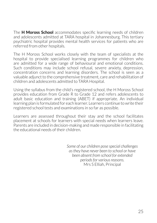The **H Moross School** accommodates specific learning needs of children and adolescents admitted at TARA hospital in Johannesburg. This tertiary psychiatric hospital provides mental health services for patients who are referred from other hospitals.

The H Moross School works closely with the team of specialists at the hospital to provide specialised learning programmes for children who are admitted for a wide range of behavioural and emotional conditions. Such conditions may include school refusal, severe anxiety, depression, concentration concerns and learning disorders. The school is seen as a valuable adjunct to the comprehensive treatment, care and rehabilitation of children and adolescents admitted to TARA Hospital.

Using the syllabus from the child's registered school, the H Moross School provides education from Grade R to Grade 12 and refers adolescents to adult basic education and training (ABET) if appropriate. An individual learning plan is formulated for each learner. Learners continue to write their registered school tests and examinations in so far as possible.

Learners are assessed throughout their stay and the school facilitates placement at schools for learners with special needs when learners leave. Parents are included in decision-making and made responsible in facilitating the educational needs of their children.

> *Some of our children pose special challenges as they have never been to school or have been absent from school for extended periods for various reasons.*  Mrs S Elliah, Principal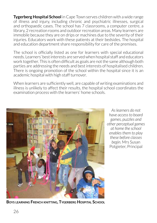**Tygerberg Hospital School** in Cape Town serves children with a wide range of illness and injury, including chronic and psychiatric illnesses, surgical and orthopaedic cases. The school has 7 classrooms, a computer centre, a library, 2 recreation rooms and outdoor recreation areas. Many learners are immobile because they are on drips or machines due to the severity of their injuries. Educators work with these patients at their bedsides. The hospital and education department share responsibility for care of the premises.

The school is officially listed as one for learners with special educational needs. Learners' best interests are served when hospital staff and educators work together. This is often difficult as goals are not the same although both parties are addressing the needs and best interests of hospitalised children. There is ongoing promotion of the school within the hospital since it is an academic hospital with high staff turnover.

When learners are sufficiently well, are capable of writing examinations and illness is unlikely to affect their results, the hospital school coordinates the examination process with the learners' home schools.



*As learners do not have access to board games, puzzles and other perceptual games at home the school enables them to play these before classes begin*. Mrs Susan Potgieter, Principal

**Boys learning French knitting, Tygerberg Hospital School**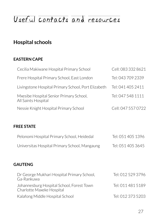# Useful contacts and resources

## **Hospital schools**

#### **EASTERN CAPE**

| Cecilia Makiwane Hospital Primary School                       | Cell: 083 332 8621 |
|----------------------------------------------------------------|--------------------|
| Frere Hospital Primary School, East London                     | Tel: 043 709 2339  |
| Livingstone Hospital Primary School, Port Elizabeth            | Tel: 041 405 2411  |
| Mxesibe Hospital Senior Primary School,<br>All Saints Hospital | Tel: 047 548 1111  |
| Nessie Knight Hospital Primary School                          | Cell: 047 557 0722 |
|                                                                |                    |

#### **FREE STATE**

| Pelonomi Hospital Primary School, Heidedal    | Tel: 051 405 1396 |
|-----------------------------------------------|-------------------|
| Universitas Hospital Primary School, Mangaung | Tel: 051 405 3645 |

#### **GAUTENG**

| Dr George Mukhari Hospital Primary School,<br>Ga-Rankuwa               | Tel: 012 529 3796 |
|------------------------------------------------------------------------|-------------------|
| Johannesburg Hospital School, Forest Town<br>Charlotte Maxeke Hospital | Tel: 011 481 5189 |
| Kalafong Middle Hospital School                                        | Tel: 012 373 5203 |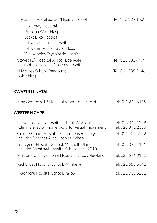| Pretoria Hospital School/Hospitaalskool                                                     | Tel: 012 329 1560 |
|---------------------------------------------------------------------------------------------|-------------------|
| 1 Military Hospital                                                                         |                   |
| Pretoria West Hospital                                                                      |                   |
| Steve Biko Hospital                                                                         |                   |
| Tshwane District Hospital                                                                   |                   |
| Tshwane Rehabilitation Hospital                                                             |                   |
| Weskoppies Psychiatric Hospital.                                                            |                   |
|                                                                                             |                   |
| Sizwe (TB) Hospital School, Edenvale<br>Rietfontein Tropical Diseases Hospital              | Tel: 011 531 4409 |
| H Moross School, Randburg<br><b>TARA Hospital</b>                                           | Tel: 011 535 3146 |
|                                                                                             |                   |
| <b>KWAZULU-NATAL</b>                                                                        |                   |
| King George VTB Hospital School, eThekwini                                                  | Tel: 031 242 6115 |
| <b>WESTERN CAPE</b>                                                                         |                   |
| Brewelskloof TB Hospital School, Worcester                                                  | Tel: 023 348 1338 |
| Administered by Pionierskool for visual impairment                                          | Tel: 023 342 2313 |
| Groote Schuur Hospital School, Observatory<br>Includes Princess Alice Hospital School       | Tel: 021 404 5012 |
| Lentegeur Hospital School, Mitchells Plain<br>Includes Sonstraal Hospital School since 2010 | Tel: 021 371 4111 |
| Maitland Cottage Home Hospital School, Newlands                                             | Tel: 021 674 0182 |
| Red Cross Hospital School, Wynberg                                                          | Tel: 021 658 5042 |
| Tygerberg Hospital School, Parow                                                            | Tel: 021 938 5261 |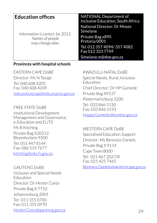| <b>Education offices</b><br>Information is correct for 2012.<br>Names of people<br>may change later. | <b>NATIONAL Department of</b><br><b>Inclusive Education, South Africa</b><br><b>National Director: Dr Moses</b><br>Simelane<br>Private Bag x895<br>Pretoria 0001<br>Tel. 012 357 4094/357 4082<br>Fax 012 323 7749<br>Simelane.m@doe.gov.za |
|------------------------------------------------------------------------------------------------------|---------------------------------------------------------------------------------------------------------------------------------------------------------------------------------------------------------------------------------------------|
|------------------------------------------------------------------------------------------------------|---------------------------------------------------------------------------------------------------------------------------------------------------------------------------------------------------------------------------------------------|

#### **Provinces with hospital schools**

Eastern Cape DoBE Director: Ms N Tezapi Tel: 040 608 4205 Fax: 040 608 4249 nokuzola.tezapi@edu.ecprov.gov.za

FREE STATE DoBE Institutional Development Management and Governance, e-Education and ELITS Ms B Kitching

Private Bag X20512 Bloemfontein 9300

Tel: 051 447 8144 Fax: 086 519 7677 kitching@edu.fs.gov.za

GAUTENG DoBE Inclusion and Special Needs Education Director: Dr Hester Costa Private Bag X 7710 Johannesburg 2001 Tel: 011 355 0700 Fax: 011 355 0970 Hester.Costa@gauteng.gov.za KWAZULU-NATAL DOBE

Special Needs, Rural, Inclusive Education Chief Director: Dr HP Gumede Private Bag X9137 Pietermaritzburg 3200 Tel: 033 846 5130 Fax: 033 846 3193 Happy.Gumede@kzndoe.gov.za

WESTERN CAPE DoBE Specialised Education Support Director: Ms Berenice Daniels Private Bag X 9114 Cape Town 8000 Tel: 021 467 2027/8 Fax: 021 425 7465

Berenice.Daniels@westerncape.gov.za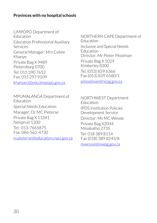#### **Provinces with no hospital schools**

LIMPOPO Department of Education Education Professional Auxiliary Services General Manager: Mrs Cebile Khanye Private Bag X 9489 Pietersburg 0700 Tel: 015 290 7652 Fax: 015 297 9109 khanyeci@edu.limpopo.gov.za

NORTHERN CAPE Department of Education Inclusive and Special Needs Education Director: Mr Pieter Moolman Private Bag X 5029 Kimberley 8300 Tel. (053) 839 6366 Fax (053) 839 6580/1

pmoolman@ncpg.gov.za

MPUMALANGA Department of Education Special Needs Education Manager: Dr MC Pieterse Private Bag X 11341 Nelspruit 1200 Tel: 013-7665875 Fax: 086-562-4730 m.pieterse@education.mpu.gov.za

NORTHWEST Department Education IPDS Institution Policies Development Service Director: Ms MC Wessie Private Bag X2044 Mmabatho 2735 Tel: 018 389 8114 Fax (018) 389 8245/8 mwessie@nwpg.gov.za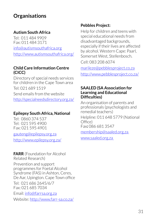## **Organisations**

#### **Autism South Africa**

Tel: 011 484 9909 Fax: 011 484 3171 info@autismsouthafrica.org http://www.autismsouthafrica.org/

#### **Child Care Information Centre (CICC)**

Directory of special needs services for children in the Cape Town area Tel: 021 689 1519 Send emails from the website http://specialneedsdirectory.org.za/

#### **Epilepsy South Africa, National**

Tel: 0860 374 537 Tel: 021 595 4900 Fax: 021 595 4901

gauteng@epilepsy.org.za

http://www.epilepsy.org.za/

**FARR** (Foundation for Alcohol Related Research) Prevention and support programmes for Foetal Alcohol Syndrome (FAS) in Ashton, Ceres, De Aar, Upington. Cape Town office Tel: 021 686 2645/6/7 Fax: 021 685 7034 Email: info@farrsa.org.za Website: http://www.farr-sa.co.za/

#### **Pebbles Project:**

Help for children and teens with special educational needs from disadvantaged backgrounds, especially if their lives are affected by alcohol. Western Cape: Paarl, Somerset West, Stellenbosch.

Cell: 083 208 6074

marileze@pebblesproject.co.za http://www.pebblesproject.co.za/

#### **SAALED (SA Association for Learning and Educational Difficulties)**

An organisation of parents and professionals (psychologists and remedial teachers) Helpline: 011 648 5779 (National Office) Fax**:** 086 681 3547 membership@saaled.org.za

www.saaled.org.za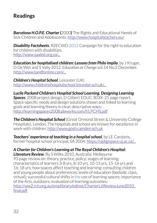## **Readings**

*Barcelona H.O.P.E. Charter* **(**2000**)** The Rights and Educational Needs of Sick Children and Adolescents. http://www.hospitalteachers.eu/

*Disability Factsheets*. R2ECWD 2012 Campaign for the right to education for children with disabilities. http://www.saaled.org.za/

*Education for hospitalised children: Lessons from Philo Impilo. by J Kruger.* D De Wet and S Vally 2012. *Education as Change* vol.14 No.2 December. http://www.tandfonline.com/...

*Children's Hospital School*, Leicester (UK) http://www.childrenshospitalschool.leicester.sch.uk/...

*Lucile Packard Children's Hospital School Learning. Designing Learning Spaces*: 2008 project design, D Gilbert EDUC 303X: 21 page report. Space-specific needs and design solutions shown and linked to learning goals and learning theory in clear, descriptive ways: http://learningspaces2008.pbworks.com/f/LPCHS.pdf

**The Children's Hospital School** (Great Ormond Street & University College Hospitals), London. The hospitals and school are known for excellence in work with children. http://www.gosh.camden.sch.uk

*Teachers' experience of teaching in a hospital school*, by LE Carstens, former hospital school principal, SA 2004: https://ujdigispace.uj.ac.za/...

#### *A Charter for Children's Learning at The Royal Children's Hospital:*

*Literature Review*. By S Wilks 2010, Australia: Melbourne 93 page review on: theory, practice, policy; stages of learning; characteristics of learners 3-8 yrs, 8-10 yrs, 10-15 yrs, 15-16 yrs and 16-18 yrs; how spaces affect teaching and learning; consulting children and young people about preferences; levels of education (bedside, class, virtual); successful cultural shifts in the use of learning spaces; importance of the Arts, outdoors; evaluation of learning outcomes: http://ww2.rch.org.au/emplibrary/edinst/CharterLitReviewJune2010\_ final.pdf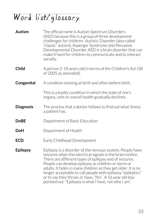# Word list/glossary

| <b>Autism</b>    | The official name is Autism Spectrum Disorders<br>(ASD) because this is a group of three development<br>challenges for children: Autistic Disorder (also called<br>"classic" autism), Asperger Syndrome and Pervasive<br>Developmental Disorder. ASD is a brain disorder that can<br>make it hard for children to communicate and to interact<br>socially.                                                                                                                                    |
|------------------|-----------------------------------------------------------------------------------------------------------------------------------------------------------------------------------------------------------------------------------------------------------------------------------------------------------------------------------------------------------------------------------------------------------------------------------------------------------------------------------------------|
| <b>Child</b>     | A person 2-18 years old in terms of the Children's Act (38<br>of 2005 as amended).                                                                                                                                                                                                                                                                                                                                                                                                            |
| Congenital       | A condition existing at birth and often before birth.                                                                                                                                                                                                                                                                                                                                                                                                                                         |
|                  | This is a bodily condition in which the state of one's<br>organs, cells or overall health gradually declines.                                                                                                                                                                                                                                                                                                                                                                                 |
| <b>Diagnosis</b> | The process that a doctor follows to find out what illness<br>a patient has.                                                                                                                                                                                                                                                                                                                                                                                                                  |
| <b>DoBE</b>      | Department of Basic Education                                                                                                                                                                                                                                                                                                                                                                                                                                                                 |
| <b>DoH</b>       | Department of Health                                                                                                                                                                                                                                                                                                                                                                                                                                                                          |
| <b>ECD</b>       | Early Childhood Development                                                                                                                                                                                                                                                                                                                                                                                                                                                                   |
| <b>Epilepsy</b>  | Epilepsy is a disorder of the nervous system. People have<br>seizures when the electrical signals in the brain misfire.<br>There are different types of epilepsy and of seizures.<br>People can develop epilepsy as children or teens or<br>adults. It fades in many children as they get older. It is no<br>longer acceptable to call people with epilepsy "epileptics"<br>or to say they throw, or have, "fits". A 16 year old boy<br>pointed out: "Epilepsy is what I have, not who I am". |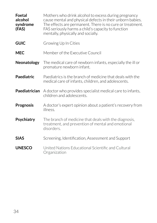**Foetal alcohol syndrome (FAS)** Mothers who drink alcohol to excess during pregnancy cause mental and physical defects in their unborn babies. The effects are permanent. There is no cure or treatment. FAS seriously harms a child's capacity to function mentally, physically and socially. **GUIC** Growing Up In Cities **MEC** Member of the Executive Council **Neonatology** The medical care of newborn infants, especially the ill or premature newborn infant. **Paediatric** Paediatrics is the branch of medicine that deals with the medical care of infants, children, and adolescents. **Paediatrician** A doctor who provides specialist medical care to infants, children and adolescents. **Prognosis** A doctor's expert opinion about a patient's recovery from illness. **Psychiatry** The branch of medicine that deals with the diagnosis, treatment, and prevention of mental and emotional disorders. **SIAS** Screening, Identification, Assessment and Support **UNESCO** United Nations Educational Scientific and Cultural **Organization**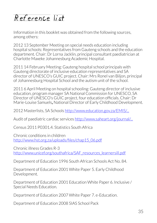# $Referencp$  list

Information in this booklet was obtained from the following sources, among others:

2012 13 September Meeting on special needs education including hospital schools: Representatives from Gauteng schools and the education department. Chair: Dr Lorna Jacklin, principal consultant paediatrician at Charlotte Maxeke Johannesburg Academic Hospital.

2011 14 February Meeting: Gauteng hospital school principals with Gauteng directorate of inclusive education representatives and SA director of UNESCO's GUIC project. Chair: Mrs Ronel van Biljon, principal of Johannesburg Hospital School and the autism unit of the school.

2011 6 April Meeting on hospital schooling: Gauteng director of inclusive education, program manager SA National Commission for UNESCO, SA Director of UNESCO's GUIC project, four education officials. Chair: Dr Marie-Louise Samuels**,** National Director of Early Childhood Development.

2012 Masterlists, SA Schools http://www.education.gov.za/EMIS/...

Audit of paediatric cardiac services http://www.saheart.org/journal/...

Census 2011 P0301.4. Statistics South Africa

Chronic conditions in children http://www.hst.org.za/uploads/files/chap15\_06.pdf

Chronic illness Grades R-3 http://www.unicef.org/southafrica/SAF\_resources\_learnersill.pdf

Department of Education 1996 South African Schools Act No. 84.

Department of Education 2001 White Paper 5. Early Childhood Development.

Department of Education 2001 Education White Paper 6. Inclusive / Special Needs Education.

Department of Education 2007 White Paper 7. e-Education.

Department of Education 2008 SIAS School Pack